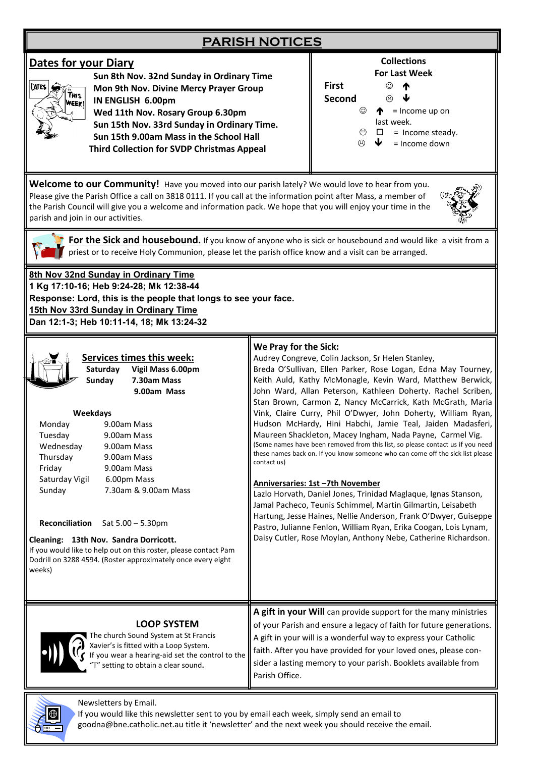## **PARISH NOTICES**

### **Dates for your Diary**



 **Sun 8th Nov. 32nd Sunday in Ordinary Time Mon 9th Nov. Divine Mercy Prayer Group IN ENGLISH 6.00pm Wed 11th Nov. Rosary Group 6.30pm Sun 15th Nov. 33rd Sunday in Ordinary Time. Sun 15th 9.00am Mass in the School Hall Third Collection for SVDP Christmas Appeal** 



**Collections**

**Welcome to our Community!** Have you moved into our parish lately? We would love to hear from you. Please give the Parish Office a call on 3818 0111. If you call at the information point after Mass, a member of the Parish Council will give you a welcome and information pack. We hope that you will enjoy your time in the parish and join in our activities.



For the Sick and housebound. If you know of anyone who is sick or housebound and would like a visit from a  $\blacksquare$  priest or to receive Holy Communion, please let the parish office know and a visit can be arranged.

**8th Nov 32nd Sunday in Ordinary Time 1 Kg 17:10-16; Heb 9:24-28; Mk 12:38-44 Response: Lord, this is the people that longs to see your face. 15th Nov 33rd Sunday in Ordinary Time Dan 12:1-3; Heb 10:11-14, 18; Mk 13:24-32**

| <b>Services times this week:</b><br>Saturday<br>Vigil Mass 6.00pm<br><b>Sunday</b><br>7.30am Mass<br>9.00am Mass<br>Weekdays<br>Monday<br>9.00am Mass<br>Tuesday<br>9.00am Mass<br>Wednesday<br>9.00am Mass<br>Thursday<br>9.00am Mass<br>Friday<br>9.00am Mass<br>Saturday Vigil<br>6.00pm Mass<br>7.30am & 9.00am Mass<br>Sunday<br>Reconciliation Sat 5.00 - 5.30pm<br>Cleaning: 13th Nov. Sandra Dorricott.<br>If you would like to help out on this roster, please contact Pam<br>Dodrill on 3288 4594. (Roster approximately once every eight<br>weeks) | We Pray for the Sick:<br>Audrey Congreve, Colin Jackson, Sr Helen Stanley,<br>Breda O'Sullivan, Ellen Parker, Rose Logan, Edna May Tourney,<br>Keith Auld, Kathy McMonagle, Kevin Ward, Matthew Berwick,<br>John Ward, Allan Peterson, Kathleen Doherty. Rachel Scriben,<br>Stan Brown, Carmon Z, Nancy McCarrick, Kath McGrath, Maria<br>Vink, Claire Curry, Phil O'Dwyer, John Doherty, William Ryan,<br>Hudson McHardy, Hini Habchi, Jamie Teal, Jaiden Madasferi,<br>Maureen Shackleton, Macey Ingham, Nada Payne, Carmel Vig.<br>(Some names have been removed from this list, so please contact us if you need<br>these names back on. If you know someone who can come off the sick list please<br>contact us)<br>Anniversaries: 1st -7th November<br>Lazlo Horvath, Daniel Jones, Trinidad Maglaque, Ignas Stanson,<br>Jamal Pacheco, Teunis Schimmel, Martin Gilmartin, Leisabeth<br>Hartung, Jesse Haines, Nellie Anderson, Frank O'Dwyer, Guiseppe<br>Pastro, Julianne Fenlon, William Ryan, Erika Coogan, Lois Lynam,<br>Daisy Cutler, Rose Moylan, Anthony Nebe, Catherine Richardson. |
|---------------------------------------------------------------------------------------------------------------------------------------------------------------------------------------------------------------------------------------------------------------------------------------------------------------------------------------------------------------------------------------------------------------------------------------------------------------------------------------------------------------------------------------------------------------|-----------------------------------------------------------------------------------------------------------------------------------------------------------------------------------------------------------------------------------------------------------------------------------------------------------------------------------------------------------------------------------------------------------------------------------------------------------------------------------------------------------------------------------------------------------------------------------------------------------------------------------------------------------------------------------------------------------------------------------------------------------------------------------------------------------------------------------------------------------------------------------------------------------------------------------------------------------------------------------------------------------------------------------------------------------------------------------------------------|
| <b>LOOP SYSTEM</b><br>The church Sound System at St Francis<br>Xavier's is fitted with a Loop System.<br>If you wear a hearing-aid set the control to the<br>"T" setting to obtain a clear sound.                                                                                                                                                                                                                                                                                                                                                             | A gift in your Will can provide support for the many ministries<br>of your Parish and ensure a legacy of faith for future generations.<br>A gift in your will is a wonderful way to express your Catholic<br>faith. After you have provided for your loved ones, please con-<br>sider a lasting memory to your parish. Booklets available from<br>Parish Office.                                                                                                                                                                                                                                                                                                                                                                                                                                                                                                                                                                                                                                                                                                                                    |
| Newsletters by Email.                                                                                                                                                                                                                                                                                                                                                                                                                                                                                                                                         |                                                                                                                                                                                                                                                                                                                                                                                                                                                                                                                                                                                                                                                                                                                                                                                                                                                                                                                                                                                                                                                                                                     |



goodna@bne.catholic.net.au title it 'newsletter' and the next week you should receive the email.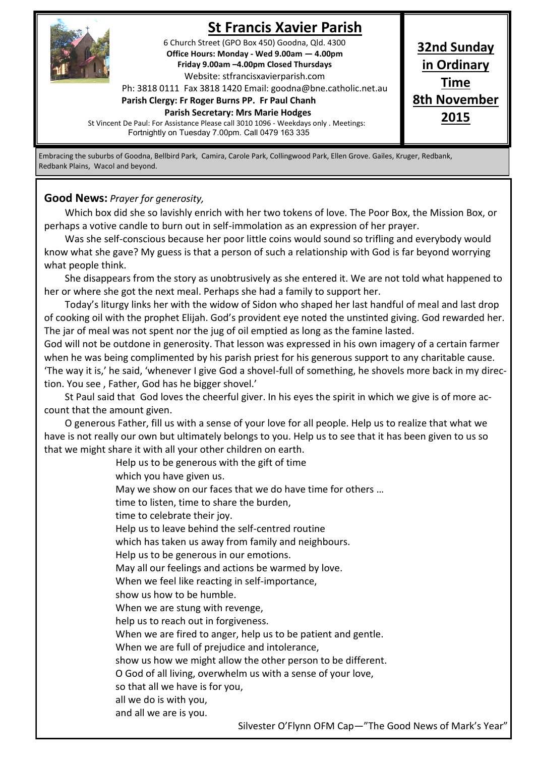

# **St Francis Xavier Parish**

6 Church Street (GPO Box 450) Goodna, Qld. 4300 **Office Hours: Monday - Wed 9.00am — 4.00pm Friday 9.00am –4.00pm Closed Thursdays**  Website: stfrancisxavierparish.com

Ph: 3818 0111 Fax 3818 1420 Email: goodna@bne.catholic.net.au

**Parish Clergy: Fr Roger Burns PP. Fr Paul Chanh Parish Secretary: Mrs Marie Hodges**

**32nd Sunday in Ordinary Time 8th November 2015**

St Vincent De Paul: For Assistance Please call 3010 1096 - Weekdays only . Meetings: Fortnightly on Tuesday 7.00pm. Call 0479 163 335

Embracing the suburbs of Goodna, Bellbird Park, Camira, Carole Park, Collingwood Park, Ellen Grove. Gailes, Kruger, Redbank, Redbank Plains, Wacol and beyond.

#### **Good News:** *Prayer for generosity,*

Which box did she so lavishly enrich with her two tokens of love. The Poor Box, the Mission Box, or perhaps a votive candle to burn out in self-immolation as an expression of her prayer.

Was she self-conscious because her poor little coins would sound so trifling and everybody would know what she gave? My guess is that a person of such a relationship with God is far beyond worrying what people think.

She disappears from the story as unobtrusively as she entered it. We are not told what happened to her or where she got the next meal. Perhaps she had a family to support her.

Today's liturgy links her with the widow of Sidon who shaped her last handful of meal and last drop of cooking oil with the prophet Elijah. God's provident eye noted the unstinted giving. God rewarded her. The jar of meal was not spent nor the jug of oil emptied as long as the famine lasted.

God will not be outdone in generosity. That lesson was expressed in his own imagery of a certain farmer when he was being complimented by his parish priest for his generous support to any charitable cause. 'The way it is,' he said, 'whenever I give God a shovel-full of something, he shovels more back in my direction. You see , Father, God has he bigger shovel.'

St Paul said that God loves the cheerful giver. In his eyes the spirit in which we give is of more account that the amount given.

O generous Father, fill us with a sense of your love for all people. Help us to realize that what we have is not really our own but ultimately belongs to you. Help us to see that it has been given to us so that we might share it with all your other children on earth.

> Help us to be generous with the gift of time which you have given us. May we show on our faces that we do have time for others … time to listen, time to share the burden, time to celebrate their joy. Help us to leave behind the self-centred routine which has taken us away from family and neighbours. Help us to be generous in our emotions. May all our feelings and actions be warmed by love. When we feel like reacting in self-importance, show us how to be humble. When we are stung with revenge, help us to reach out in forgiveness. When we are fired to anger, help us to be patient and gentle. When we are full of prejudice and intolerance, show us how we might allow the other person to be different. O God of all living, overwhelm us with a sense of your love, so that all we have is for you, all we do is with you, and all we are is you.

> > Silvester O'Flynn OFM Cap—"The Good News of Mark's Year"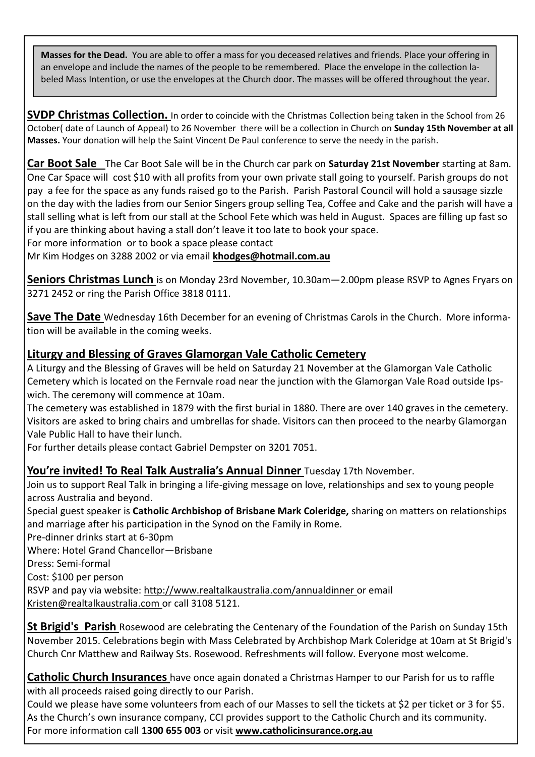**Masses for the Dead.** You are able to offer a mass for you deceased relatives and friends. Place your offering in an envelope and include the names of the people to be remembered. Place the envelope in the collection labeled Mass Intention, or use the envelopes at the Church door. The masses will be offered throughout the year.

**SVDP Christmas Collection.** In order to coincide with the Christmas Collection being taken in the School from 26 October( date of Launch of Appeal) to 26 November there will be a collection in Church on **Sunday 15th November at all Masses.** Your donation will help the Saint Vincent De Paul conference to serve the needy in the parish.

**Car Boot Sale** The Car Boot Sale will be in the Church car park on **Saturday 21st November** starting at 8am. One Car Space will cost \$10 with all profits from your own private stall going to yourself. Parish groups do not pay a fee for the space as any funds raised go to the Parish. Parish Pastoral Council will hold a sausage sizzle on the day with the ladies from our Senior Singers group selling Tea, Coffee and Cake and the parish will have a stall selling what is left from our stall at the School Fete which was held in August. Spaces are filling up fast so if you are thinking about having a stall don't leave it too late to book your space.

For more information or to book a space please contact

Mr Kim Hodges on 3288 2002 or via email **khodges@hotmail.com.au**

**Seniors Christmas Lunch** is on Monday 23rd November, 10.30am—2.00pm please RSVP to Agnes Fryars on 3271 2452 or ring the Parish Office 3818 0111.

**Save The Date** Wednesday 16th December for an evening of Christmas Carols in the Church. More information will be available in the coming weeks.

### **Liturgy and Blessing of Graves Glamorgan Vale Catholic Cemetery**

A Liturgy and the Blessing of Graves will be held on Saturday 21 November at the Glamorgan Vale Catholic Cemetery which is located on the Fernvale road near the junction with the Glamorgan Vale Road outside Ipswich. The ceremony will commence at 10am.

The cemetery was established in 1879 with the first burial in 1880. There are over 140 graves in the cemetery. Visitors are asked to bring chairs and umbrellas for shade. Visitors can then proceed to the nearby Glamorgan Vale Public Hall to have their lunch.

For further details please contact Gabriel Dempster on 3201 7051.

**You're invited! To Real Talk Australia's Annual Dinner** Tuesday 17th November.

Join us to support Real Talk in bringing a life-giving message on love, relationships and sex to young people across Australia and beyond.

Special guest speaker is **Catholic Archbishop of Brisbane Mark Coleridge,** sharing on matters on relationships and marriage after his participation in the Synod on the Family in Rome.

Pre-dinner drinks start at 6-30pm

Where: Hotel Grand Chancellor—Brisbane

Dress: Semi-formal

Cost: \$100 per person

RSVP and pay via website: http://www.realtalkaustralia.com/annualdinner or email Kristen@realtalkaustralia.com or call 3108 5121.

**St Brigid's Parish** Rosewood are celebrating the Centenary of the Foundation of the Parish on Sunday 15th November 2015. Celebrations begin with Mass Celebrated by Archbishop Mark Coleridge at 10am at St Brigid's Church Cnr Matthew and Railway Sts. Rosewood. Refreshments will follow. Everyone most welcome.

**Catholic Church Insurances** have once again donated a Christmas Hamper to our Parish for us to raffle with all proceeds raised going directly to our Parish.

Could we please have some volunteers from each of our Masses to sell the tickets at \$2 per ticket or 3 for \$5. As the Church's own insurance company, CCI provides support to the Catholic Church and its community. For more information call **1300 655 003** or visit **www.catholicinsurance.org.au**